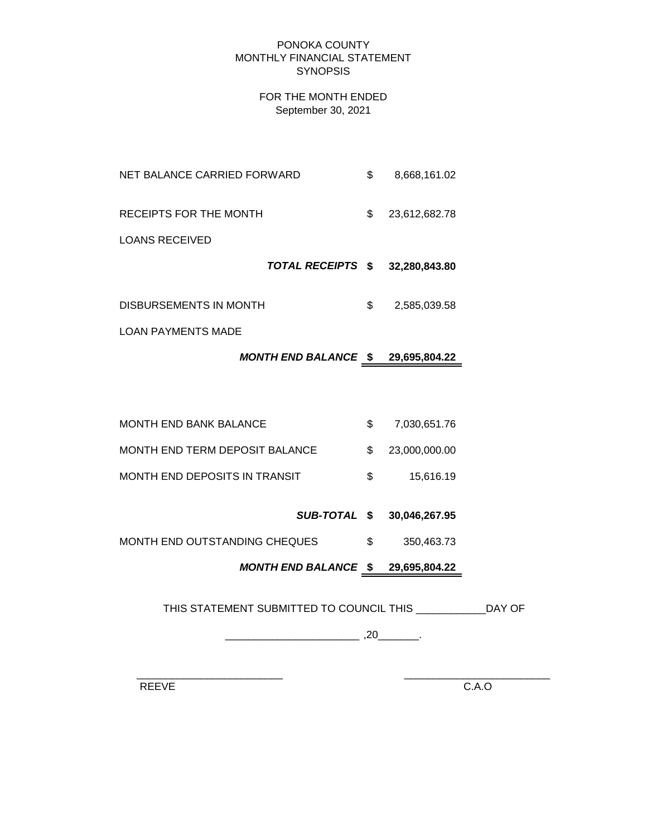#### PONOKA COUNTY MONTHLY FINANCIAL STATEMENT **SYNOPSIS**

### FOR THE MONTH ENDED September 30, 2021

NET BALANCE CARRIED FORWARD  $$8,668,161.02$ RECEIPTS FOR THE MONTH  $$23,612,682.78$ 

LOANS RECEIVED

 *TOTAL RECEIPTS* **\$ 32,280,843.80**

DISBURSEMENTS IN MONTH  $$3$  2,585,039.58

LOAN PAYMENTS MADE

# *MONTH END BALANCE* **\$ 29,695,804.22**

| <b>MONTH END BANK BALANCE</b>  | 7,030,651.76     |
|--------------------------------|------------------|
| MONTH END TERM DEPOSIT BALANCE | \$ 23,000,000,00 |
| MONTH END DEPOSITS IN TRANSIT  | 15.616.19        |

# *SUB-TOTAL* **\$ 30,046,267.95**

MONTH END OUTSTANDING CHEQUES  $$350,463.73$ 

*MONTH END BALANCE* **\$ 29,695,804.22**

THIS STATEMENT SUBMITTED TO COUNCIL THIS \_\_\_\_\_\_\_\_\_\_\_\_DAY OF

 $\overline{\phantom{a}20}$  ,  $\overline{\phantom{a}20}$  ,  $\overline{\phantom{a}20}$  .

 $\frac{1}{2}$  ,  $\frac{1}{2}$  ,  $\frac{1}{2}$  ,  $\frac{1}{2}$  ,  $\frac{1}{2}$  ,  $\frac{1}{2}$  ,  $\frac{1}{2}$  ,  $\frac{1}{2}$  ,  $\frac{1}{2}$  ,  $\frac{1}{2}$  ,  $\frac{1}{2}$  ,  $\frac{1}{2}$  ,  $\frac{1}{2}$  ,  $\frac{1}{2}$  ,  $\frac{1}{2}$  ,  $\frac{1}{2}$  ,  $\frac{1}{2}$  ,  $\frac{1}{2}$  ,  $\frac{1$ 

REEVE C.A.O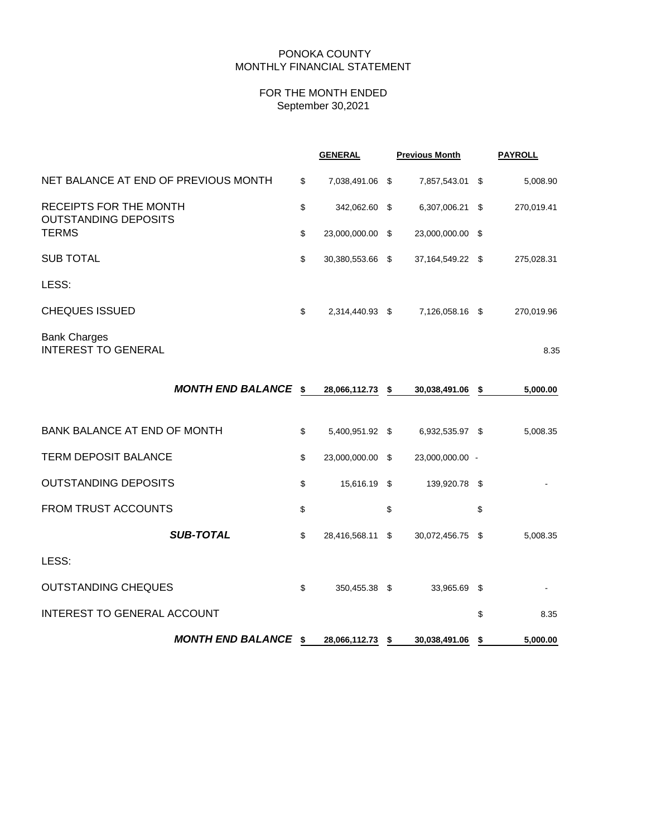#### PONOKA COUNTY MONTHLY FINANCIAL STATEMENT

# FOR THE MONTH ENDED September 30,2021

|                                                              |      | <b>GENERAL</b>   | <b>Previous Month</b> |                  | <b>PAYROLL</b> |            |
|--------------------------------------------------------------|------|------------------|-----------------------|------------------|----------------|------------|
| NET BALANCE AT END OF PREVIOUS MONTH                         | \$   | 7,038,491.06 \$  |                       | 7,857,543.01 \$  |                | 5,008.90   |
| <b>RECEIPTS FOR THE MONTH</b><br><b>OUTSTANDING DEPOSITS</b> | \$   | 342,062.60 \$    |                       | 6,307,006.21     | \$             | 270,019.41 |
| <b>TERMS</b>                                                 | \$   | 23,000,000.00 \$ |                       | 23,000,000.00 \$ |                |            |
| <b>SUB TOTAL</b>                                             | \$   | 30,380,553.66 \$ |                       | 37,164,549.22 \$ |                | 275,028.31 |
| LESS:                                                        |      |                  |                       |                  |                |            |
| <b>CHEQUES ISSUED</b>                                        | \$   | 2,314,440.93 \$  |                       | 7,126,058.16 \$  |                | 270,019.96 |
| <b>Bank Charges</b><br><b>INTEREST TO GENERAL</b>            |      |                  |                       |                  |                | 8.35       |
| <b>MONTH END BALANCE</b>                                     | - \$ | 28,066,112.73 \$ |                       | 30,038,491.06    | \$             | 5,000.00   |
| BANK BALANCE AT END OF MONTH                                 | \$   | 5,400,951.92 \$  |                       | 6,932,535.97 \$  |                | 5,008.35   |
| <b>TERM DEPOSIT BALANCE</b>                                  | \$   | 23,000,000.00 \$ |                       | 23,000,000.00 -  |                |            |
| <b>OUTSTANDING DEPOSITS</b>                                  | \$   | 15,616.19 \$     |                       | 139,920.78 \$    |                |            |
| <b>FROM TRUST ACCOUNTS</b>                                   | \$   |                  | \$                    |                  | \$             |            |
| <b>SUB-TOTAL</b>                                             | \$   | 28,416,568.11    | \$                    | 30,072,456.75    | \$             | 5,008.35   |
| LESS:                                                        |      |                  |                       |                  |                |            |
| <b>OUTSTANDING CHEQUES</b>                                   | \$   | 350,455.38 \$    |                       | 33,965.69        | \$             |            |
| INTEREST TO GENERAL ACCOUNT                                  |      |                  |                       |                  | \$             | 8.35       |

*MONTH END BALANCE* **\$ 28,066,112.73 \$ 30,038,491.06 \$ 5,000.00**